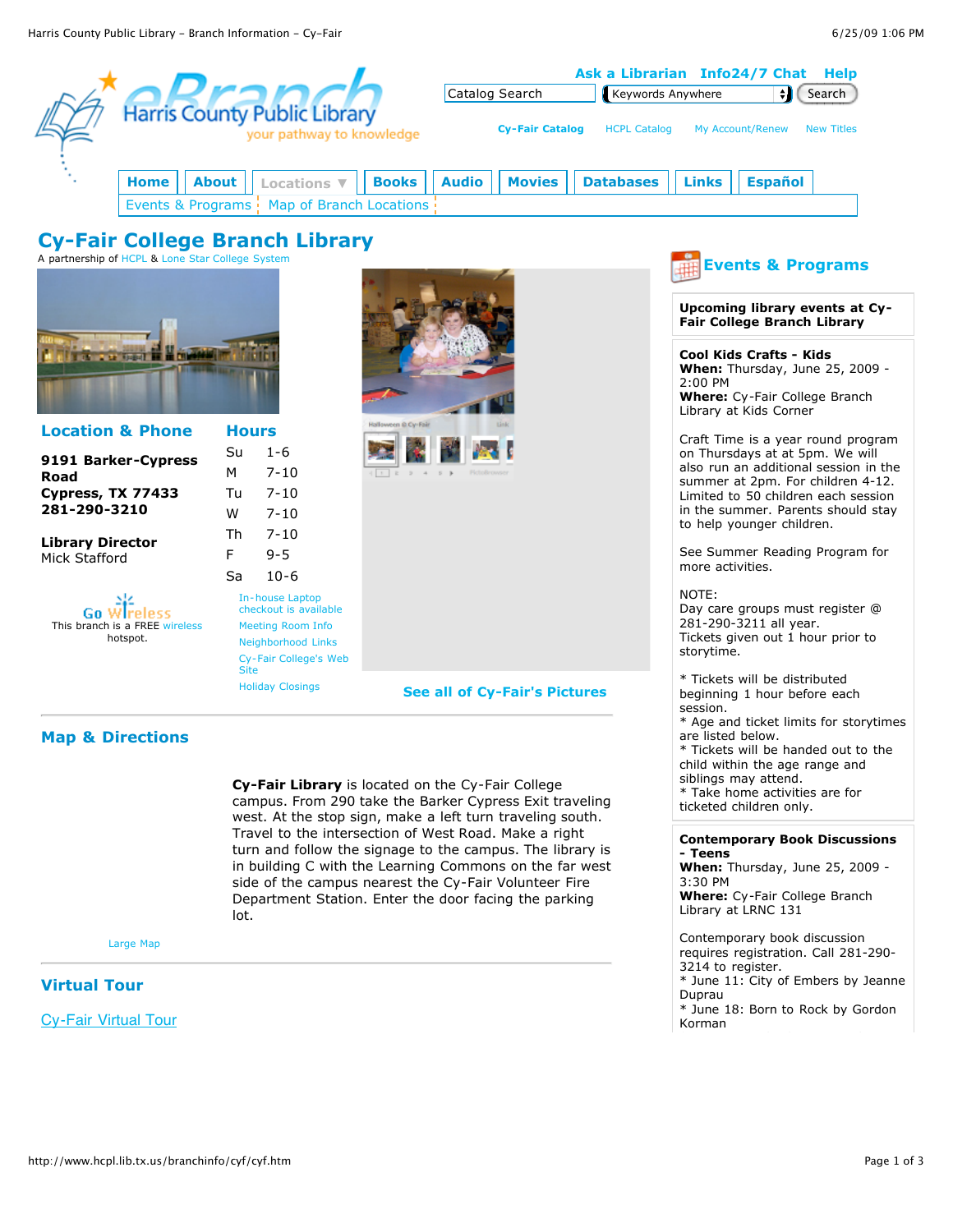|                                                                                           |                    |                                                                                                                                        | Ask a Librarian Info24/7 Chat<br>Help |                                               |                |                  |  |                                                                                                                                                                                            |                                                                                           |                                                                      |  |
|-------------------------------------------------------------------------------------------|--------------------|----------------------------------------------------------------------------------------------------------------------------------------|---------------------------------------|-----------------------------------------------|----------------|------------------|--|--------------------------------------------------------------------------------------------------------------------------------------------------------------------------------------------|-------------------------------------------------------------------------------------------|----------------------------------------------------------------------|--|
|                                                                                           |                    |                                                                                                                                        |                                       |                                               | Catalog Search |                  |  | Keywords Anywhere                                                                                                                                                                          | $\bullet$                                                                                 | Search                                                               |  |
|                                                                                           |                    | <b>Harris County Public Library</b><br>your pathway to knowledge                                                                       |                                       | <b>Cy-Fair Catalog</b><br><b>HCPL Catalog</b> |                |                  |  | My Account/Renew<br><b>New Titles</b>                                                                                                                                                      |                                                                                           |                                                                      |  |
| Home<br>Events & Programs :                                                               | <b>About</b>       | <b>Locations</b> ▼<br>Map of Branch Locations                                                                                          | <b>Books</b>                          | <b>Audio</b>                                  | <b>Movies</b>  | <b>Databases</b> |  | <b>Links</b>                                                                                                                                                                               | <b>Español</b>                                                                            |                                                                      |  |
| <b>Cy-Fair College Branch Library</b><br>A partnership of HCPL & Lone Star College System |                    |                                                                                                                                        |                                       |                                               |                |                  |  |                                                                                                                                                                                            | <b>Events &amp; Programs</b>                                                              |                                                                      |  |
|                                                                                           |                    |                                                                                                                                        |                                       |                                               |                |                  |  | Upcoming library events at Cy-<br>Fair College Branch Library                                                                                                                              |                                                                                           |                                                                      |  |
| <b>A 12 100</b>                                                                           |                    |                                                                                                                                        |                                       |                                               |                |                  |  | $2:00$ PM                                                                                                                                                                                  | Cool Kids Crafts - Kids<br><b>Where:</b> Cy-Fair College Branch<br>Library at Kids Corner | When: Thursday, June 25, 2009 -                                      |  |
| <b>Location &amp; Phone</b>                                                               | <b>Hours</b>       |                                                                                                                                        | talloween @ Cy-Fair                   |                                               |                |                  |  |                                                                                                                                                                                            |                                                                                           | Craft Time is a year round program                                   |  |
| 9191 Barker-Cypress<br>Road<br>Cypress, TX 77433<br>281-290-3210                          | Su<br>M<br>Tu<br>W | $1 - 6$<br>$7 - 10$<br>$7 - 10$<br>$7 - 10$                                                                                            |                                       |                                               |                |                  |  | on Thursdays at at 5pm. We will<br>also run an additional session in the<br>summer at 2pm. For children 4-12.<br>Limited to 50 children each session<br>in the summer. Parents should stay |                                                                                           |                                                                      |  |
| <b>Library Director</b><br>Mick Stafford                                                  | Th                 | $7 - 10$                                                                                                                               |                                       |                                               |                |                  |  | to help younger children.                                                                                                                                                                  |                                                                                           |                                                                      |  |
|                                                                                           | F                  | $9 - 5$                                                                                                                                |                                       |                                               |                |                  |  | See Summer Reading Program for<br>more activities.                                                                                                                                         |                                                                                           |                                                                      |  |
| Gn<br>This branch is a FREE wireless<br>hotspot.                                          | Sa                 | $10 - 6$<br>In-house Laptop<br>checkout is available<br><b>Meeting Room Info</b><br><b>Neighborhood Links</b><br>Cy-Fair College's Web |                                       |                                               |                |                  |  | NOTE:<br>storytime.                                                                                                                                                                        | 281-290-3211 all year.                                                                    | Day care groups must register @<br>Tickets given out 1 hour prior to |  |
|                                                                                           |                    | <b>Site</b><br><b>Holiday Closings</b>                                                                                                 |                                       | See all of Cy-Fair's Pictures                 |                |                  |  | * Tickets will be distributed<br>beginning 1 hour before each<br>session.<br>* Age and ticket limits for storytimes                                                                        |                                                                                           |                                                                      |  |

### **Map & Directions**

**Cy-Fair Library** is located on the Cy-Fair College campus. From 290 take the Barker Cypress Exit traveling west. At the stop sign, make a left turn traveling south. Travel to the intersection of West Road. Make a right turn and follow the signage to the campus. The library is in building C with the Learning Commons on the far west side of the campus nearest the Cy-Fair Volunteer Fire Department Station. Enter the door facing the parking lot.

#### [Large Map](http://maps.yahoo.com/py/maps.py?addr=9191+Barker-Cypress+Road&csz=Cypress,+TX+77433)

## **Virtual Tour**

Cy-Fair Virtual Tour

are listed below.

**- Teens**

3:30 PM

Duprau

Korman

siblings may attend.

Library at LRNC 131

3214 to register.

\* Tickets will be handed out to the child within the age range and

**[Contemporary Book Discussions](http://host4.evanced.info/harris/evanced/eventsignup.asp?ID=68917)**

**When:** Thursday, June 25, 2009 -

**Where:** Cy-Fair College Branch

Contemporary book discussion requires registration. Call 281-290-

\* June 11: City of Embers by Jeanne

\* June 18: Born to Rock by Gordon

\* Take home activities are for ticketed children only.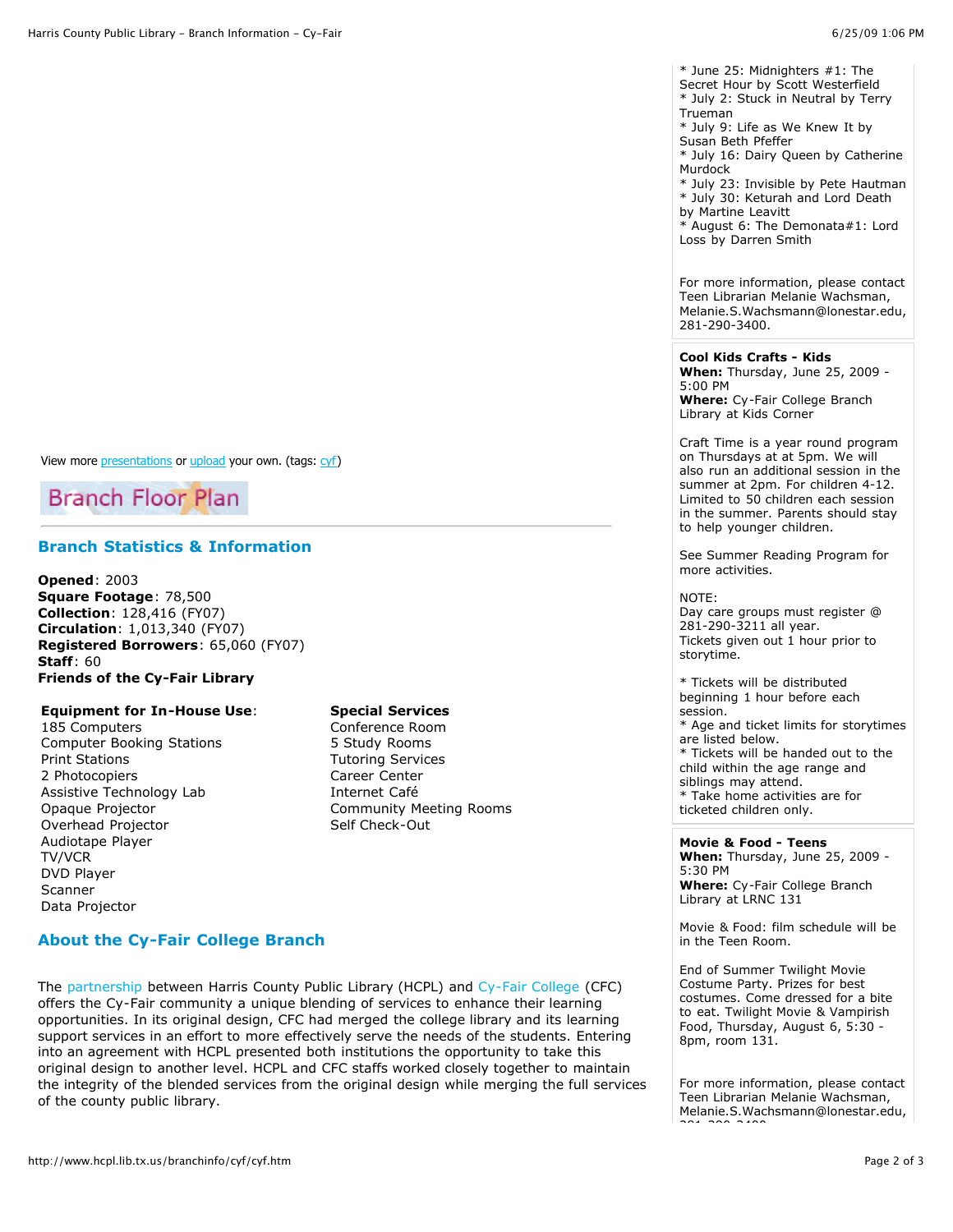Secret Hour by Scott Westerfield \* July 2: Stuck in Neutral by Terry Trueman \* July 9: Life as We Knew It by

Susan Beth Pfeffer \* July 16: Dairy Queen by Catherine **Murdock** 

\* July 23: Invisible by Pete Hautman \* July 30: Keturah and Lord Death

by Martine Leavitt

\* August 6: The Demonata#1: Lord Loss by Darren Smith

For more information, please contact Teen Librarian Melanie Wachsman, Melanie.S.Wachsmann@lonestar.edu, 281-290-3400.

# **[Cool Kids Crafts - Kids](http://host4.evanced.info/harris/evanced/eventsignup.asp?ID=69313)**

**When:** Thursday, June 25, 2009 - 5:00 PM **Where:** Cy-Fair College Branch

Library at Kids Corner Craft Time is a year round program

on Thursdays at at 5pm. We will also run an additional session in the summer at 2pm. For children 4-12. Limited to 50 children each session in the summer. Parents should stay to help younger children.

See Summer Reading Program for more activities.

### NOTE:

Day care groups must register @ 281-290-3211 all year. Tickets given out 1 hour prior to storytime.

\* Tickets will be distributed beginning 1 hour before each session. \* Age and ticket limits for storytimes are listed below. \* Tickets will be handed out to the child within the age range and siblings may attend. \* Take home activities are for ticketed children only.

**[Movie & Food - Teens](http://host4.evanced.info/harris/evanced/eventsignup.asp?ID=68926) When:** Thursday, June 25, 2009 - 5:30 PM **Where:** Cy-Fair College Branch Library at LRNC 131

Movie & Food: film schedule will be in the Teen Room.

End of Summer Twilight Movie Costume Party. Prizes for best costumes. Come dressed for a bite to eat. Twilight Movie & Vampirish Food, Thursday, August 6, 5:30 - 8pm, room 131.

For more information, please contact Teen Librarian Melanie Wachsman, Melanie.S.Wachsmann@lonestar.edu, 281-290-3400.

View more *presentations* or *upload* your own. (tags: [cyf\)](http://slideshare.net/tag/cyf)



## **Branch Statistics & Information**

**Opened**: 2003 **Square Footage**: 78,500 **Collection**: 128,416 (FY07) **Circulation**: 1,013,340 (FY07) **Registered Borrowers**: 65,060 (FY07) **Staff**: 60 **Friends of the Cy-Fair Library**

### **Equipment for In-House Use**:

185 Computers Computer Booking Stations Print Stations 2 Photocopiers Assistive Technology Lab Opaque Projector Overhead Projector Audiotape Player TV/VCR DVD Player Scanner Data Projector

#### **Special Services**

Conference Room 5 Study Rooms Tutoring Services Career Center Internet Café Community Meeting Rooms Self Check-Out

## **About the Cy-Fair College Branch**

The [partnership](http://www.hcpl.net/branchinfo/cyf/cyfair.htm) between Harris County Public Library (HCPL) and [Cy-Fair College](http://www.hcpl.net/cgi-bin/timed.pl?http://cyfair.lonestar.edu/69180/) (CFC) offers the Cy-Fair community a unique blending of services to enhance their learning opportunities. In its original design, CFC had merged the college library and its learning support services in an effort to more effectively serve the needs of the students. Entering into an agreement with HCPL presented both institutions the opportunity to take this original design to another level. HCPL and CFC staffs worked closely together to maintain the integrity of the blended services from the original design while merging the full services of the county public library.